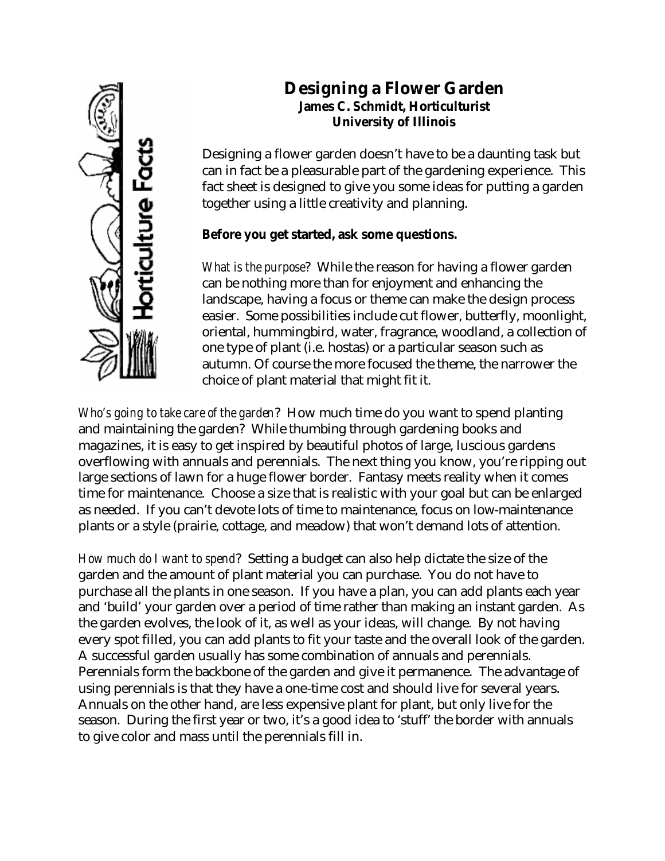

# **Designing a Flower Garden James C. Schmidt, Horticulturist University of Illinois**

Designing a flower garden doesn't have to be a daunting task but can in fact be a pleasurable part of the gardening experience. This fact sheet is designed to give you some ideas for putting a garden together using a little creativity and planning.

## **Before you get started, ask some questions.**

*What is the purpose*? While the reason for having a flower garden can be nothing more than for enjoyment and enhancing the landscape, having a focus or theme can make the design process easier. Some possibilities include cut flower, butterfly, moonlight, oriental, hummingbird, water, fragrance, woodland, a collection of one type of plant (i.e. hostas) or a particular season such as autumn. Of course the more focused the theme, the narrower the choice of plant material that might fit it.

*Who's going to take care of the garden*? How much time do you want to spend planting and maintaining the garden? While thumbing through gardening books and magazines, it is easy to get inspired by beautiful photos of large, luscious gardens overflowing with annuals and perennials. The next thing you know, you're ripping out large sections of lawn for a huge flower border. Fantasy meets reality when it comes time for maintenance. Choose a size that is realistic with your goal but can be enlarged as needed. If you can't devote lots of time to maintenance, focus on low-maintenance plants or a style (prairie, cottage, and meadow) that won't demand lots of attention.

*How much do I want to spend*? Setting a budget can also help dictate the size of the garden and the amount of plant material you can purchase. You do not have to purchase all the plants in one season. If you have a plan, you can add plants each year and 'build' your garden over a period of time rather than making an instant garden. As the garden evolves, the look of it, as well as your ideas, will change. By not having every spot filled, you can add plants to fit your taste and the overall look of the garden. A successful garden usually has some combination of annuals and perennials. Perennials form the backbone of the garden and give it permanence. The advantage of using perennials is that they have a one-time cost and should live for several years. Annuals on the other hand, are less expensive plant for plant, but only live for the season. During the first year or two, it's a good idea to 'stuff' the border with annuals to give color and mass until the perennials fill in.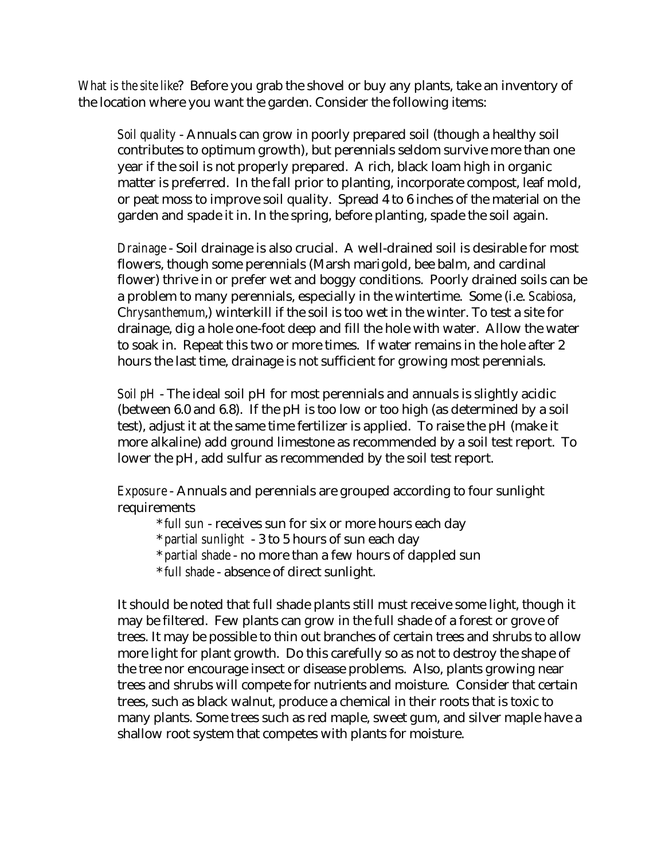*What is the site like*? Before you grab the shovel or buy any plants, take an inventory of the location where you want the garden. Consider the following items:

*Soil quality* - Annuals can grow in poorly prepared soil (though a healthy soil contributes to optimum growth), but perennials seldom survive more than one year if the soil is not properly prepared. A rich, black loam high in organic matter is preferred. In the fall prior to planting, incorporate compost, leaf mold, or peat moss to improve soil quality. Spread 4 to 6 inches of the material on the garden and spade it in. In the spring, before planting, spade the soil again.

*Drainage* - Soil drainage is also crucial. A well-drained soil is desirable for most flowers, though some perennials (Marsh marigold, bee balm, and cardinal flower) thrive in or prefer wet and boggy conditions. Poorly drained soils can be a problem to many perennials, especially in the wintertime. Some (i.e. *Scabiosa*, C*hrysanthemum*,) winterkill if the soil is too wet in the winter. To test a site for drainage, dig a hole one-foot deep and fill the hole with water. Allow the water to soak in. Repeat this two or more times. If water remains in the hole after 2 hours the last time, drainage is not sufficient for growing most perennials.

*Soil pH* - The ideal soil pH for most perennials and annuals is slightly acidic (between 6.0 and 6.8). If the pH is too low or too high (as determined by a soil test), adjust it at the same time fertilizer is applied. To raise the pH (make it more alkaline) add ground limestone as recommended by a soil test report. To lower the pH, add sulfur as recommended by the soil test report.

*Exposure* - Annuals and perennials are grouped according to four sunlight requirements

- \* *full sun* receives sun for six or more hours each day
- \* *partial sunlight* 3 to 5 hours of sun each day
- \* *partial shade* no more than a few hours of dappled sun
- \* *full shade* absence of direct sunlight.

It should be noted that full shade plants still must receive some light, though it may be filtered. Few plants can grow in the full shade of a forest or grove of trees. It may be possible to thin out branches of certain trees and shrubs to allow more light for plant growth. Do this carefully so as not to destroy the shape of the tree nor encourage insect or disease problems. Also, plants growing near trees and shrubs will compete for nutrients and moisture. Consider that certain trees, such as black walnut, produce a chemical in their roots that is toxic to many plants. Some trees such as red maple, sweet gum, and silver maple have a shallow root system that competes with plants for moisture.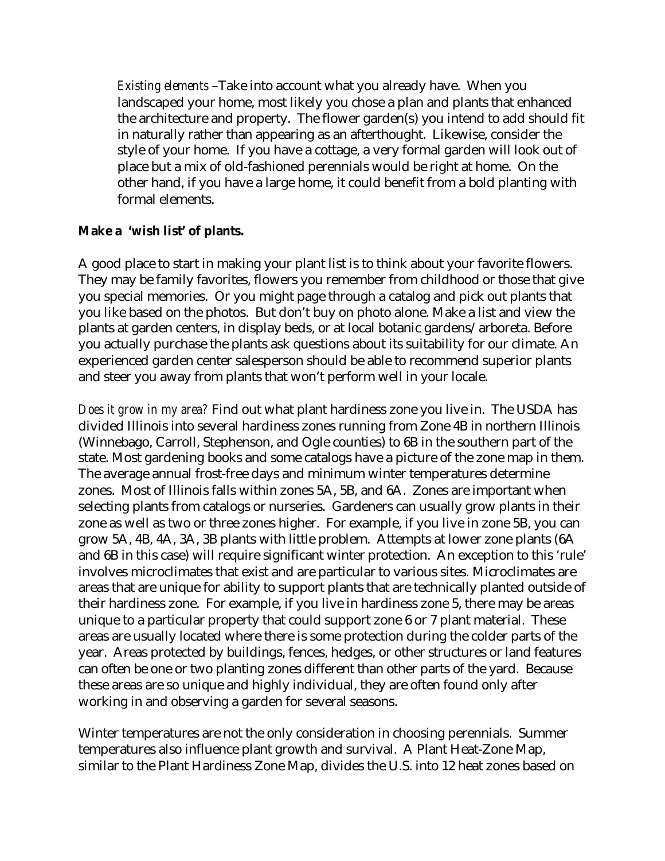*Existing elements* –Take into account what you already have. When you landscaped your home, most likely you chose a plan and plants that enhanced the architecture and property. The flower garden(s) you intend to add should fit in naturally rather than appearing as an afterthought. Likewise, consider the style of your home. If you have a cottage, a very formal garden will look out of place but a mix of old-fashioned perennials would be right at home. On the other hand, if you have a large home, it could benefit from a bold planting with formal elements.

#### **Make a 'wish list' of plants.**

A good place to start in making your plant list is to think about your favorite flowers. They may be family favorites, flowers you remember from childhood or those that give you special memories. Or you might page through a catalog and pick out plants that you like based on the photos. But don't buy on photo alone. Make a list and view the plants at garden centers, in display beds, or at local botanic gardens/arboreta. Before you actually purchase the plants ask questions about its suitability for our climate. An experienced garden center salesperson should be able to recommend superior plants and steer you away from plants that won't perform well in your locale.

*Does it grow in my area?* Find out what plant hardiness zone you live in. The USDA has divided Illinois into several hardiness zones running from Zone 4B in northern Illinois (Winnebago, Carroll, Stephenson, and Ogle counties) to 6B in the southern part of the state. Most gardening books and some catalogs have a picture of the zone map in them. The average annual frost-free days and minimum winter temperatures determine zones. Most of Illinois falls within zones 5A, 5B, and 6A. Zones are important when selecting plants from catalogs or nurseries. Gardeners can usually grow plants in their zone as well as two or three zones higher. For example, if you live in zone 5B, you can grow 5A, 4B, 4A, 3A, 3B plants with little problem. Attempts at lower zone plants (6A and 6B in this case) will require significant winter protection. An exception to this 'rule' involves microclimates that exist and are particular to various sites. Microclimates are areas that are unique for ability to support plants that are technically planted outside of their hardiness zone. For example, if you live in hardiness zone 5, there may be areas unique to a particular property that could support zone 6 or 7 plant material. These areas are usually located where there is some protection during the colder parts of the year. Areas protected by buildings, fences, hedges, or other structures or land features can often be one or two planting zones different than other parts of the yard. Because these areas are so unique and highly individual, they are often found only after working in and observing a garden for several seasons.

Winter temperatures are not the only consideration in choosing perennials. Summer temperatures also influence plant growth and survival. A Plant Heat-Zone Map, similar to the Plant Hardiness Zone Map, divides the U.S. into 12 heat zones based on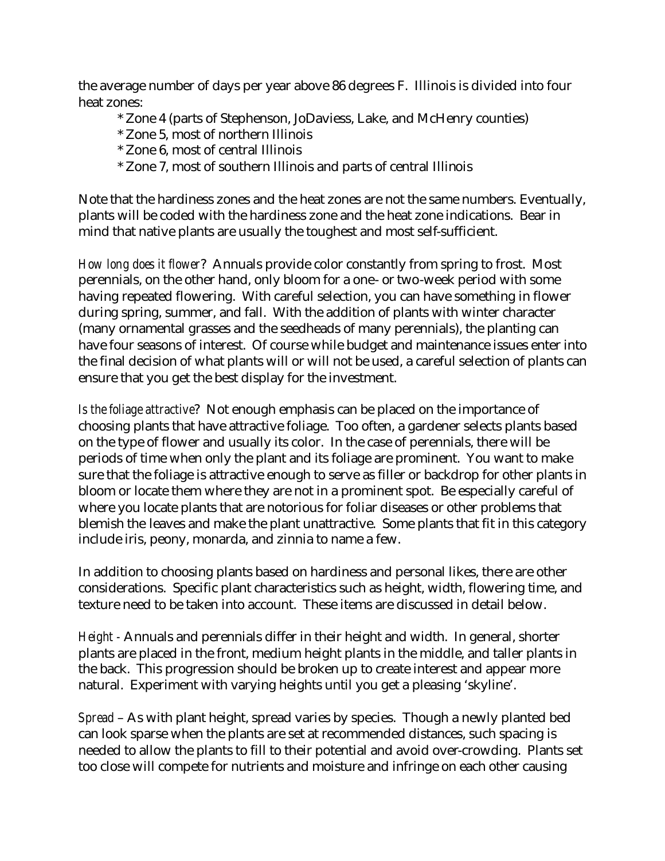the average number of days per year above 86 degrees F. Illinois is divided into four heat zones:

- \* Zone 4 (parts of Stephenson, JoDaviess, Lake, and McHenry counties)
- \* Zone 5, most of northern Illinois
- \* Zone 6, most of central Illinois
- \* Zone 7, most of southern Illinois and parts of central Illinois

Note that the hardiness zones and the heat zones are not the same numbers. Eventually, plants will be coded with the hardiness zone and the heat zone indications. Bear in mind that native plants are usually the toughest and most self-sufficient.

*How long does it flower*? Annuals provide color constantly from spring to frost. Most perennials, on the other hand, only bloom for a one- or two-week period with some having repeated flowering. With careful selection, you can have something in flower during spring, summer, and fall. With the addition of plants with winter character (many ornamental grasses and the seedheads of many perennials), the planting can have four seasons of interest. Of course while budget and maintenance issues enter into the final decision of what plants will or will not be used, a careful selection of plants can ensure that you get the best display for the investment.

*Is the foliage attractive*? Not enough emphasis can be placed on the importance of choosing plants that have attractive foliage. Too often, a gardener selects plants based on the type of flower and usually its color. In the case of perennials, there will be periods of time when only the plant and its foliage are prominent. You want to make sure that the foliage is attractive enough to serve as filler or backdrop for other plants in bloom or locate them where they are not in a prominent spot. Be especially careful of where you locate plants that are notorious for foliar diseases or other problems that blemish the leaves and make the plant unattractive. Some plants that fit in this category include iris, peony, monarda, and zinnia to name a few.

In addition to choosing plants based on hardiness and personal likes, there are other considerations. Specific plant characteristics such as height, width, flowering time, and texture need to be taken into account. These items are discussed in detail below.

*Height -* Annuals and perennials differ in their height and width. In general, shorter plants are placed in the front, medium height plants in the middle, and taller plants in the back. This progression should be broken up to create interest and appear more natural. Experiment with varying heights until you get a pleasing 'skyline'.

*Spread* – As with plant height, spread varies by species. Though a newly planted bed can look sparse when the plants are set at recommended distances, such spacing is needed to allow the plants to fill to their potential and avoid over-crowding. Plants set too close will compete for nutrients and moisture and infringe on each other causing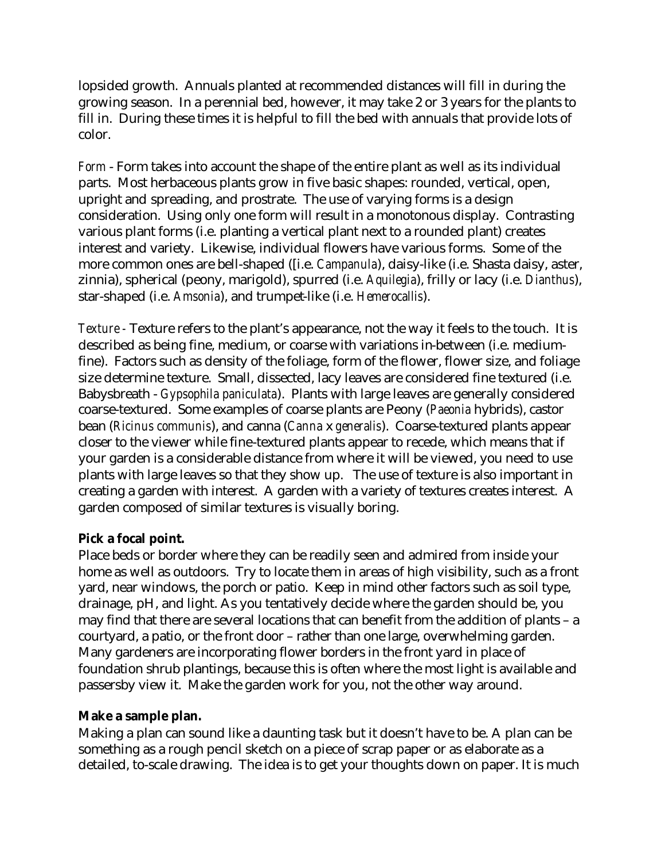lopsided growth. Annuals planted at recommended distances will fill in during the growing season. In a perennial bed, however, it may take 2 or 3 years for the plants to fill in. During these times it is helpful to fill the bed with annuals that provide lots of color.

*Form* - Form takes into account the shape of the entire plant as well as its individual parts. Most herbaceous plants grow in five basic shapes: rounded, vertical, open, upright and spreading, and prostrate. The use of varying forms is a design consideration. Using only one form will result in a monotonous display. Contrasting various plant forms (i.e. planting a vertical plant next to a rounded plant) creates interest and variety. Likewise, individual flowers have various forms. Some of the more common ones are bell-shaped ([i.e. *Campanula*), daisy-like (i.e. Shasta daisy, aster, zinnia), spherical (peony, marigold), spurred (i.e. *Aquilegia*), frilly or lacy (i.e. *Dianthus*), star-shaped (i.e. *Amsonia*), and trumpet-like (i.e. *Hemerocallis*).

*Texture -* Texture refers to the plant's appearance, not the way it feels to the touch. It is described as being fine, medium, or coarse with variations in-between (i.e. mediumfine). Factors such as density of the foliage, form of the flower, flower size, and foliage size determine texture. Small, dissected, lacy leaves are considered fine textured (i.e. Babysbreath - *Gypsophila paniculata*). Plants with large leaves are generally considered coarse-textured. Some examples of coarse plants are Peony (*Paeonia* hybrids), castor bean (*Ricinus communis*), and canna (*Canna* x *generalis*). Coarse-textured plants appear closer to the viewer while fine-textured plants appear to recede, which means that if your garden is a considerable distance from where it will be viewed, you need to use plants with large leaves so that they show up. The use of texture is also important in creating a garden with interest. A garden with a variety of textures creates interest. A garden composed of similar textures is visually boring.

### **Pick a focal point.**

Place beds or border where they can be readily seen and admired from inside your home as well as outdoors. Try to locate them in areas of high visibility, such as a front yard, near windows, the porch or patio. Keep in mind other factors such as soil type, drainage, pH, and light. As you tentatively decide where the garden should be, you may find that there are several locations that can benefit from the addition of plants – a courtyard, a patio, or the front door – rather than one large, overwhelming garden. Many gardeners are incorporating flower borders in the front yard in place of foundation shrub plantings, because this is often where the most light is available and passersby view it. Make the garden work for you, not the other way around.

### **Make a sample plan.**

Making a plan can sound like a daunting task but it doesn't have to be. A plan can be something as a rough pencil sketch on a piece of scrap paper or as elaborate as a detailed, to-scale drawing. The idea is to get your thoughts down on paper. It is much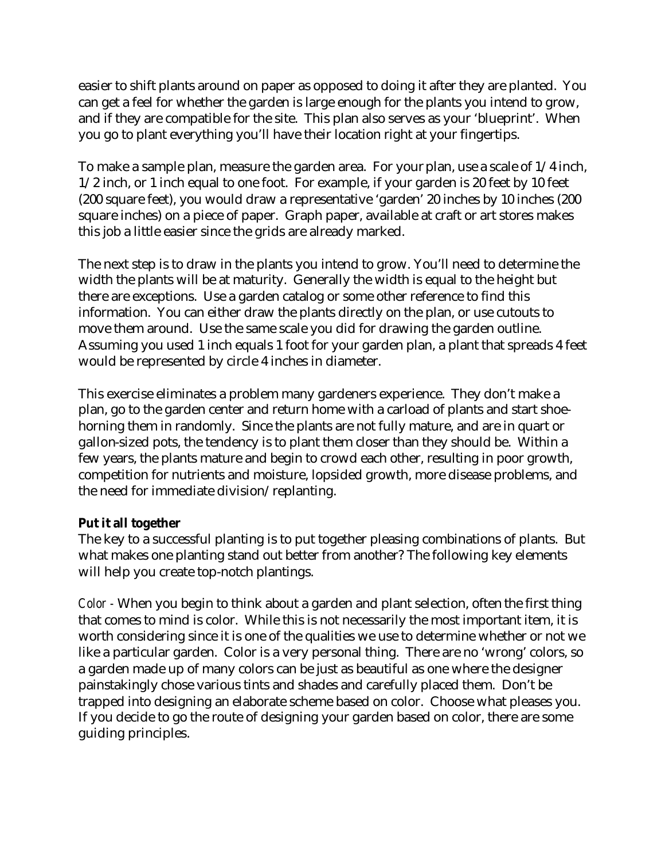easier to shift plants around on paper as opposed to doing it after they are planted. You can get a feel for whether the garden is large enough for the plants you intend to grow, and if they are compatible for the site. This plan also serves as your 'blueprint'. When you go to plant everything you'll have their location right at your fingertips.

To make a sample plan, measure the garden area. For your plan, use a scale of 1/4 inch, 1/2 inch, or 1 inch equal to one foot. For example, if your garden is 20 feet by 10 feet (200 square feet), you would draw a representative 'garden' 20 inches by 10 inches (200 square inches) on a piece of paper. Graph paper, available at craft or art stores makes this job a little easier since the grids are already marked.

The next step is to draw in the plants you intend to grow. You'll need to determine the width the plants will be at maturity. Generally the width is equal to the height but there are exceptions. Use a garden catalog or some other reference to find this information. You can either draw the plants directly on the plan, or use cutouts to move them around. Use the same scale you did for drawing the garden outline. Assuming you used 1 inch equals 1 foot for your garden plan, a plant that spreads 4 feet would be represented by circle 4 inches in diameter.

This exercise eliminates a problem many gardeners experience. They don't make a plan, go to the garden center and return home with a carload of plants and start shoehorning them in randomly. Since the plants are not fully mature, and are in quart or gallon-sized pots, the tendency is to plant them closer than they should be. Within a few years, the plants mature and begin to crowd each other, resulting in poor growth, competition for nutrients and moisture, lopsided growth, more disease problems, and the need for immediate division/replanting.

### **Put it all together**

The key to a successful planting is to put together pleasing combinations of plants. But what makes one planting stand out better from another? The following key elements will help you create top-notch plantings.

*Color -* When you begin to think about a garden and plant selection, often the first thing that comes to mind is color. While this is not necessarily the most important item, it is worth considering since it is one of the qualities we use to determine whether or not we like a particular garden. Color is a very personal thing. There are no 'wrong' colors, so a garden made up of many colors can be just as beautiful as one where the designer painstakingly chose various tints and shades and carefully placed them. Don't be trapped into designing an elaborate scheme based on color. Choose what pleases you. If you decide to go the route of designing your garden based on color, there are some guiding principles.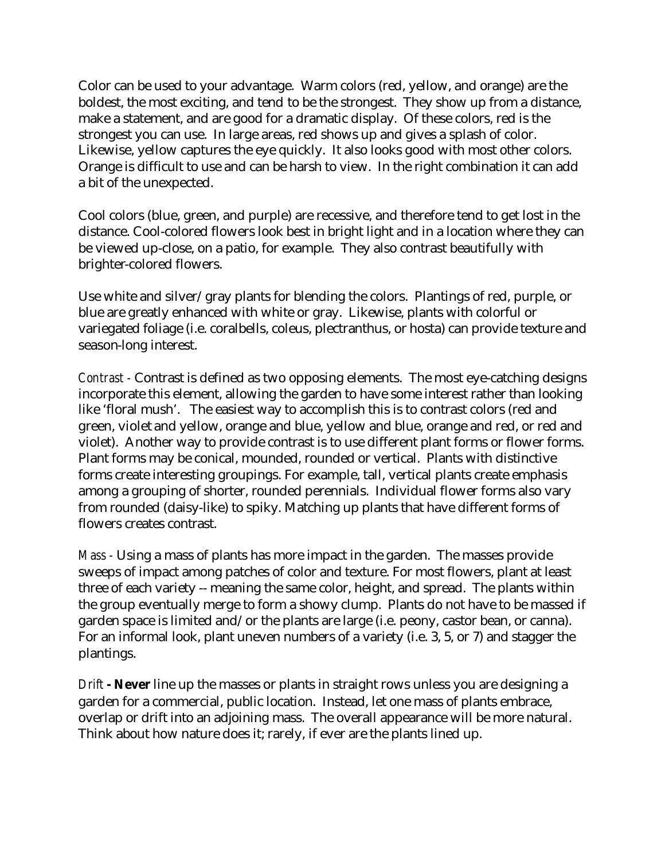Color can be used to your advantage. Warm colors (red, yellow, and orange) are the boldest, the most exciting, and tend to be the strongest. They show up from a distance, make a statement, and are good for a dramatic display. Of these colors, red is the strongest you can use. In large areas, red shows up and gives a splash of color. Likewise, yellow captures the eye quickly. It also looks good with most other colors. Orange is difficult to use and can be harsh to view. In the right combination it can add a bit of the unexpected.

Cool colors (blue, green, and purple) are recessive, and therefore tend to get lost in the distance. Cool-colored flowers look best in bright light and in a location where they can be viewed up-close, on a patio, for example. They also contrast beautifully with brighter-colored flowers.

Use white and silver/gray plants for blending the colors. Plantings of red, purple, or blue are greatly enhanced with white or gray. Likewise, plants with colorful or variegated foliage (i.e. coralbells, coleus, plectranthus, or hosta) can provide texture and season-long interest.

*Contrast -* Contrast is defined as two opposing elements. The most eye-catching designs incorporate this element, allowing the garden to have some interest rather than looking like 'floral mush'. The easiest way to accomplish this is to contrast colors (red and green, violet and yellow, orange and blue, yellow and blue, orange and red, or red and violet). Another way to provide contrast is to use different plant forms or flower forms. Plant forms may be conical, mounded, rounded or vertical. Plants with distinctive forms create interesting groupings. For example, tall, vertical plants create emphasis among a grouping of shorter, rounded perennials. Individual flower forms also vary from rounded (daisy-like) to spiky. Matching up plants that have different forms of flowers creates contrast.

*Mass -* Using a mass of plants has more impact in the garden. The masses provide sweeps of impact among patches of color and texture. For most flowers, plant at least three of each variety -- meaning the same color, height, and spread. The plants within the group eventually merge to form a showy clump. Plants do not have to be massed if garden space is limited and/or the plants are large (i.e. peony, castor bean, or canna). For an informal look, plant uneven numbers of a variety (i.e. 3, 5, or 7) and stagger the plantings.

*Drift* **- Never** line up the masses or plants in straight rows unless you are designing a garden for a commercial, public location. Instead, let one mass of plants embrace, overlap or drift into an adjoining mass. The overall appearance will be more natural. Think about how nature does it; rarely, if ever are the plants lined up.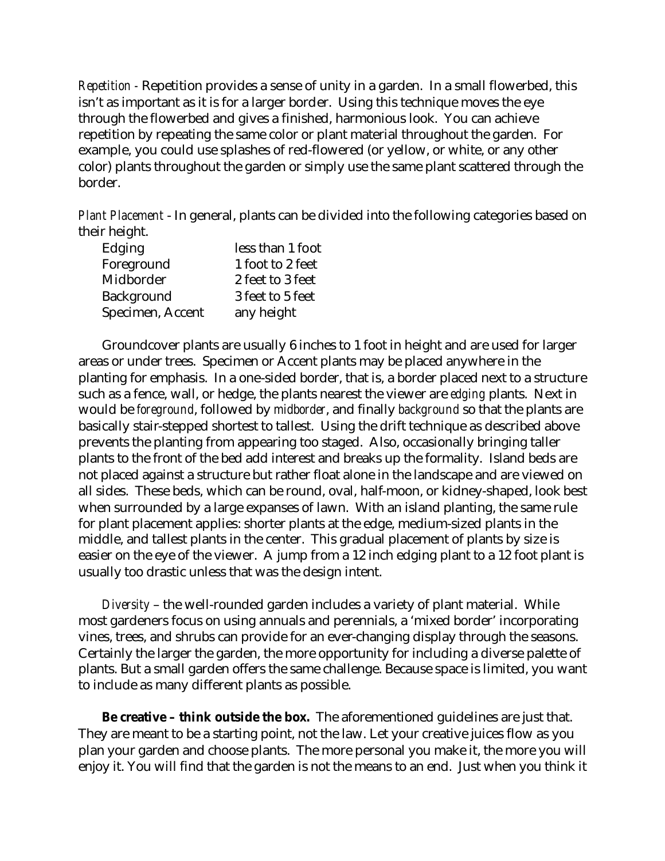*Repetition -* Repetition provides a sense of unity in a garden. In a small flowerbed, this isn't as important as it is for a larger border. Using this technique moves the eye through the flowerbed and gives a finished, harmonious look. You can achieve repetition by repeating the same color or plant material throughout the garden. For example, you could use splashes of red-flowered (or yellow, or white, or any other color) plants throughout the garden or simply use the same plant scattered through the border.

*Plant Placement* - In general, plants can be divided into the following categories based on their height.

| Edging            | less than 1 foot |
|-------------------|------------------|
| Foreground        | 1 foot to 2 feet |
| Midborder         | 2 feet to 3 feet |
| <b>Background</b> | 3 feet to 5 feet |
| Specimen, Accent  | any height       |

Groundcover plants are usually 6 inches to 1 foot in height and are used for larger areas or under trees. Specimen or Accent plants may be placed anywhere in the planting for emphasis. In a one-sided border, that is, a border placed next to a structure such as a fence, wall, or hedge, the plants nearest the viewer are *edging* plants. Next in would be *foreground*, followed by *midborder*, and finally *background* so that the plants are basically stair-stepped shortest to tallest. Using the drift technique as described above prevents the planting from appearing too staged. Also, occasionally bringing taller plants to the front of the bed add interest and breaks up the formality. Island beds are not placed against a structure but rather float alone in the landscape and are viewed on all sides. These beds, which can be round, oval, half-moon, or kidney-shaped, look best when surrounded by a large expanses of lawn. With an island planting, the same rule for plant placement applies: shorter plants at the edge, medium-sized plants in the middle, and tallest plants in the center. This gradual placement of plants by size is easier on the eye of the viewer. A jump from a 12 inch edging plant to a 12 foot plant is usually too drastic unless that was the design intent.

*Diversity* – the well-rounded garden includes a variety of plant material. While most gardeners focus on using annuals and perennials, a 'mixed border' incorporating vines, trees, and shrubs can provide for an ever-changing display through the seasons. Certainly the larger the garden, the more opportunity for including a diverse palette of plants. But a small garden offers the same challenge. Because space is limited, you want to include as many different plants as possible.

**Be creative – think outside the box.** The aforementioned guidelines are just that. They are meant to be a starting point, not the law. Let your creative juices flow as you plan your garden and choose plants. The more personal you make it, the more you will enjoy it. You will find that the garden is not the means to an end. Just when you think it